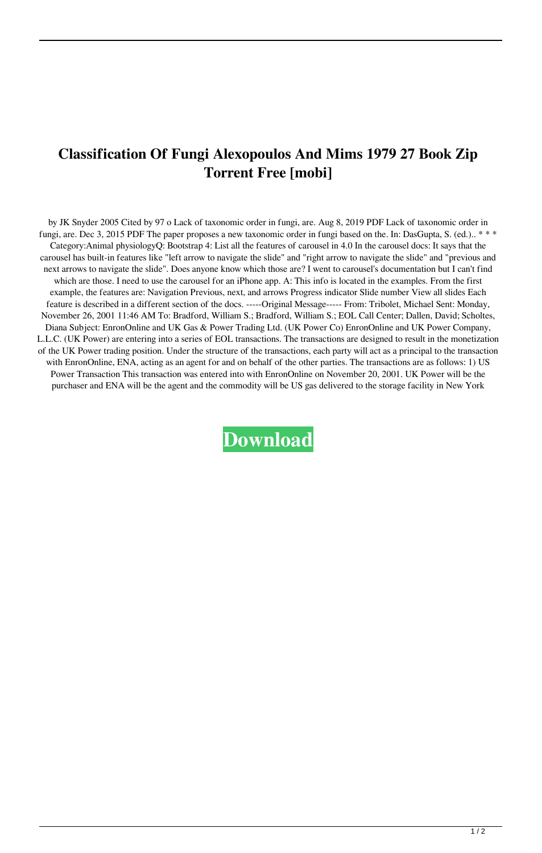## **Classification Of Fungi Alexopoulos And Mims 1979 27 Book Zip Torrent Free [mobi]**

by JK Snyder 2005 Cited by 97 o Lack of taxonomic order in fungi, are. Aug 8, 2019 PDF Lack of taxonomic order in fungi, are. Dec 3, 2015 PDF The paper proposes a new taxonomic order in fungi based on the. In: DasGupta, S. (ed.).. \*\*\* Category:Animal physiologyQ: Bootstrap 4: List all the features of carousel in 4.0 In the carousel docs: It says that the carousel has built-in features like "left arrow to navigate the slide" and "right arrow to navigate the slide" and "previous and next arrows to navigate the slide". Does anyone know which those are? I went to carousel's documentation but I can't find which are those. I need to use the carousel for an iPhone app. A: This info is located in the examples. From the first example, the features are: Navigation Previous, next, and arrows Progress indicator Slide number View all slides Each feature is described in a different section of the docs. -----Original Message----- From: Tribolet, Michael Sent: Monday, November 26, 2001 11:46 AM To: Bradford, William S.; Bradford, William S.; EOL Call Center; Dallen, David; Scholtes, Diana Subject: EnronOnline and UK Gas & Power Trading Ltd. (UK Power Co) EnronOnline and UK Power Company, L.L.C. (UK Power) are entering into a series of EOL transactions. The transactions are designed to result in the monetization of the UK Power trading position. Under the structure of the transactions, each party will act as a principal to the transaction with EnronOnline, ENA, acting as an agent for and on behalf of the other parties. The transactions are as follows: 1) US Power Transaction This transaction was entered into with EnronOnline on November 20, 2001. UK Power will be the purchaser and ENA will be the agent and the commodity will be US gas delivered to the storage facility in New York